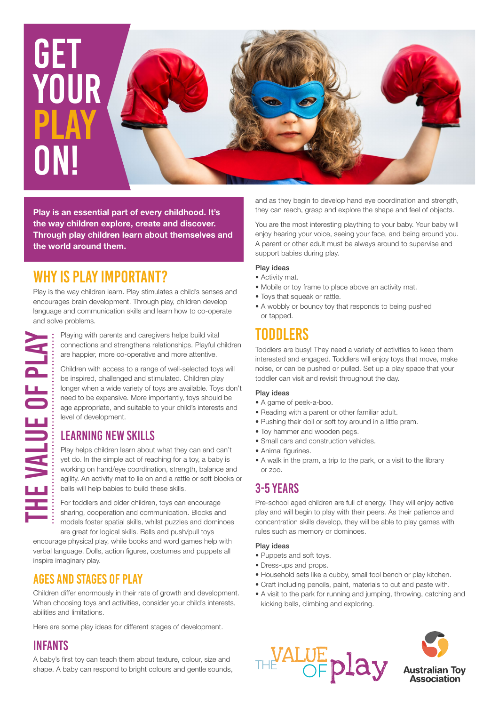

**Play is an essential part of every childhood. It's the way children explore, create and discover. Through play children learn about themselves and the world around them.**

## WHY IS PLAY IMPORTANT?

Play is the way children learn. Play stimulates a child's senses and encourages brain development. Through play, children develop language and communication skills and learn how to co-operate and solve problems.

Playing with parents and caregivers helps build vital E VALUE OF PLAY connections and strengthens relationships. Playful children are happier, more co-operative and more attentive.

Children with access to a range of well-selected toys will be inspired, challenged and stimulated. Children play longer when a wide variety of toys are available. Toys don't need to be expensive. More importantly, toys should be age appropriate, and suitable to your child's interests and level of development.

## LEARNING NEW SKILLS

Play helps children learn about what they can and can't yet do. In the simple act of reaching for a toy, a baby is working on hand/eye coordination, strength, balance and agility. An activity mat to lie on and a rattle or soft blocks or balls will help babies to build these skills.

For toddlers and older children, toys can encourage sharing, cooperation and communication. Blocks and models foster spatial skills, whilst puzzles and dominoes are great for logical skills. Balls and push/pull toys

encourage physical play, while books and word games help with verbal language. Dolls, action figures, costumes and puppets all inspire imaginary play.

## AGES AND STAGES OF PLAY

Children differ enormously in their rate of growth and development. When choosing toys and activities, consider your child's interests, abilities and limitations.

Here are some play ideas for different stages of development.

#### INFANTS

The Value of Play

A baby's first toy can teach them about texture, colour, size and shape. A baby can respond to bright colours and gentle sounds, and as they begin to develop hand eye coordination and strength, they can reach, grasp and explore the shape and feel of objects.

You are the most interesting plaything to your baby. Your baby will enjoy hearing your voice, seeing your face, and being around you. A parent or other adult must be always around to supervise and support babies during play.

#### Play ideas

- Activity mat.
- Mobile or toy frame to place above an activity mat.
- Toys that squeak or rattle.
- A wobbly or bouncy toy that responds to being pushed or tapped.

## TODDLERS

Toddlers are busy! They need a variety of activities to keep them interested and engaged. Toddlers will enjoy toys that move, make noise, or can be pushed or pulled. Set up a play space that your toddler can visit and revisit throughout the day.

#### Play ideas

- A game of peek-a-boo.
- Reading with a parent or other familiar adult.
- Pushing their doll or soft toy around in a little pram.
- Toy hammer and wooden pegs.
- Small cars and construction vehicles.
- Animal figurines.
- A walk in the pram, a trip to the park, or a visit to the library or zoo.

## 3-5 YEARS

Pre-school aged children are full of energy. They will enjoy active play and will begin to play with their peers. As their patience and concentration skills develop, they will be able to play games with rules such as memory or dominoes.

#### Play ideas

- Puppets and soft toys.
- Dress-ups and props.
- Household sets like a cubby, small tool bench or play kitchen.
- Craft including pencils, paint, materials to cut and paste with.
- A visit to the park for running and jumping, throwing, catching and kicking balls, climbing and exploring.